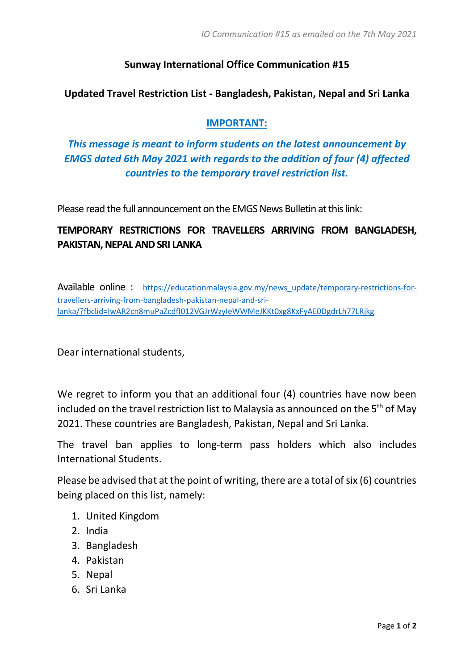### **Sunway International Office Communication #15**

#### **Updated Travel Restriction List - Bangladesh, Pakistan, Nepal and Sri Lanka**

#### **IMPORTANT:**

# *This message is meant to inform students on the latest announcement by EMGS dated 6th May 2021 with regards to the addition of four (4) affected countries to the temporary travel restriction list.*

Please read the full announcement on the EMGS News Bulletin at this link:

## **TEMPORARY RESTRICTIONS FOR TRAVELLERS ARRIVING FROM BANGLADESH, PAKISTAN, NEPAL AND SRI LANKA**

Available online : https://educationmalaysia.gov.my/news update/temporary-restrictions-for[travellers-arriving-from-bangladesh-pakistan-nepal-and-sri](https://educationmalaysia.gov.my/news_update/temporary-restrictions-for-travellers-arriving-from-bangladesh-pakistan-nepal-and-sri-lanka/?fbclid=IwAR2cn8muPaZcdfI012VGJrWzyIeWWMeJKKt0xg8KxFyAE0DgdrLh77LRjkg)[lanka/?fbclid=IwAR2cn8muPaZcdfI012VGJrWzyIeWWMeJKKt0xg8KxFyAE0DgdrLh77LRjkg](https://educationmalaysia.gov.my/news_update/temporary-restrictions-for-travellers-arriving-from-bangladesh-pakistan-nepal-and-sri-lanka/?fbclid=IwAR2cn8muPaZcdfI012VGJrWzyIeWWMeJKKt0xg8KxFyAE0DgdrLh77LRjkg)

Dear international students,

We regret to inform you that an additional four (4) countries have now been included on the travel restriction list to Malaysia as announced on the 5<sup>th</sup> of May 2021. These countries are Bangladesh, Pakistan, Nepal and Sri Lanka.

The travel ban applies to long-term pass holders which also includes International Students.

Please be advised that at the point of writing, there are a total of six (6) countries being placed on this list, namely:

- 1. United Kingdom
- 2. India
- 3. Bangladesh
- 4. Pakistan
- 5. Nepal
- 6. Sri Lanka